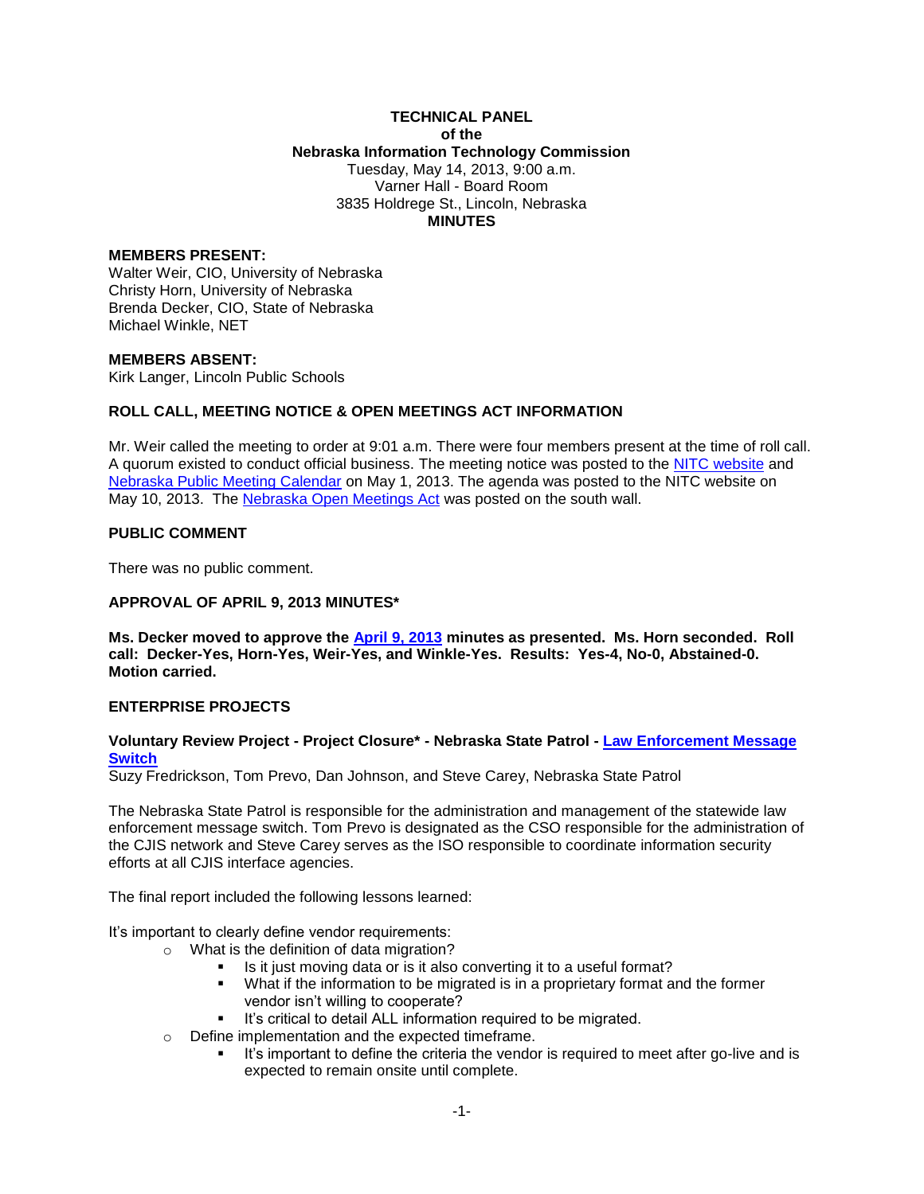## **TECHNICAL PANEL of the Nebraska Information Technology Commission** Tuesday, May 14, 2013, 9:00 a.m. Varner Hall - Board Room 3835 Holdrege St., Lincoln, Nebraska **MINUTES**

## **MEMBERS PRESENT:**

Walter Weir, CIO, University of Nebraska Christy Horn, University of Nebraska Brenda Decker, CIO, State of Nebraska Michael Winkle, NET

#### **MEMBERS ABSENT:**

Kirk Langer, Lincoln Public Schools

## **ROLL CALL, MEETING NOTICE & OPEN MEETINGS ACT INFORMATION**

Mr. Weir called the meeting to order at 9:01 a.m. There were four members present at the time of roll call. A quorum existed to conduct official business. The meeting notice was posted to the [NITC website](http://nitc.nebraska.gov/) and [Nebraska Public Meeting Calendar](http://www.nebraska.gov/calendar/index.cgi) on May 1, 2013. The agenda was posted to the NITC website on May 10, 2013. The [Nebraska Open Meetings Act](http://nitc.nebraska.gov/docs/statutes/NebraskaOpenMeetingsAct_20121231.pdf) was posted on the south wall.

### **PUBLIC COMMENT**

There was no public comment.

#### **APPROVAL OF APRIL 9, 2013 MINUTES\***

**Ms. Decker moved to approve the [April 9, 2013](http://nitc.nebraska.gov/tp/meetings/documents/20130514/tp_minutes20130409.pdf) minutes as presented. Ms. Horn seconded. Roll call: Decker-Yes, Horn-Yes, Weir-Yes, and Winkle-Yes. Results: Yes-4, No-0, Abstained-0. Motion carried.**

## **ENTERPRISE PROJECTS**

## **Voluntary Review Project - Project Closure\* - Nebraska State Patrol - [Law Enforcement Message](http://nitc.nebraska.gov/tp/meetings/documents/20130514/Message_Switch-NITC%20Project%20Status%20Form%20-%20February%202013.pdf)  [Switch](http://nitc.nebraska.gov/tp/meetings/documents/20130514/Message_Switch-NITC%20Project%20Status%20Form%20-%20February%202013.pdf)**

Suzy Fredrickson, Tom Prevo, Dan Johnson, and Steve Carey, Nebraska State Patrol

The Nebraska State Patrol is responsible for the administration and management of the statewide law enforcement message switch. Tom Prevo is designated as the CSO responsible for the administration of the CJIS network and Steve Carey serves as the ISO responsible to coordinate information security efforts at all CJIS interface agencies.

The final report included the following lessons learned:

It's important to clearly define vendor requirements:

- o What is the definition of data migration?
	- Is it just moving data or is it also converting it to a useful format?
	- What if the information to be migrated is in a proprietary format and the former vendor isn't willing to cooperate?
	- It's critical to detail ALL information required to be migrated.
- o Define implementation and the expected timeframe.
	- It's important to define the criteria the vendor is required to meet after go-live and is expected to remain onsite until complete.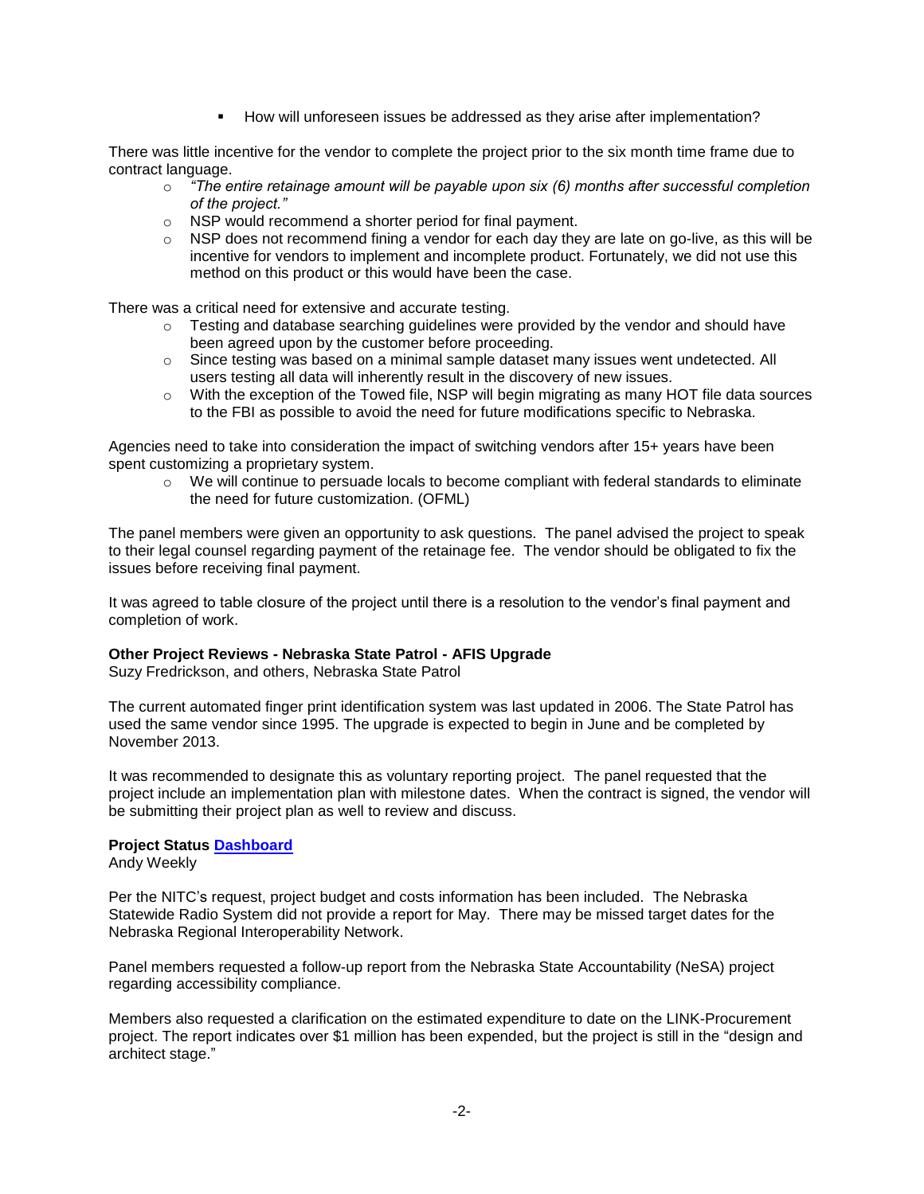How will unforeseen issues be addressed as they arise after implementation?

There was little incentive for the vendor to complete the project prior to the six month time frame due to contract language.

- o *"The entire retainage amount will be payable upon six (6) months after successful completion of the project."*
- o NSP would recommend a shorter period for final payment.
- $\circ$  NSP does not recommend fining a vendor for each day they are late on go-live, as this will be incentive for vendors to implement and incomplete product. Fortunately, we did not use this method on this product or this would have been the case.

There was a critical need for extensive and accurate testing.

- $\circ$  Testing and database searching guidelines were provided by the vendor and should have been agreed upon by the customer before proceeding.
- $\circ$  Since testing was based on a minimal sample dataset many issues went undetected. All users testing all data will inherently result in the discovery of new issues.
- o With the exception of the Towed file, NSP will begin migrating as many HOT file data sources to the FBI as possible to avoid the need for future modifications specific to Nebraska.

Agencies need to take into consideration the impact of switching vendors after 15+ years have been spent customizing a proprietary system.

 $\circ$  We will continue to persuade locals to become compliant with federal standards to eliminate the need for future customization. (OFML)

The panel members were given an opportunity to ask questions. The panel advised the project to speak to their legal counsel regarding payment of the retainage fee. The vendor should be obligated to fix the issues before receiving final payment.

It was agreed to table closure of the project until there is a resolution to the vendor's final payment and completion of work.

# **Other Project Reviews - Nebraska State Patrol - AFIS Upgrade**

Suzy Fredrickson, and others, Nebraska State Patrol

The current automated finger print identification system was last updated in 2006. The State Patrol has used the same vendor since 1995. The upgrade is expected to begin in June and be completed by November 2013.

It was recommended to designate this as voluntary reporting project. The panel requested that the project include an implementation plan with milestone dates. When the contract is signed, the vendor will be submitting their project plan as well to review and discuss.

## **Project Status [Dashboard](http://nitc.nebraska.gov/tp/meetings/documents/20130514/NITC%20Dashboard%20-%202013-05.pdf)**

Andy Weekly

Per the NITC's request, project budget and costs information has been included. The Nebraska Statewide Radio System did not provide a report for May. There may be missed target dates for the Nebraska Regional Interoperability Network.

Panel members requested a follow-up report from the Nebraska State Accountability (NeSA) project regarding accessibility compliance.

Members also requested a clarification on the estimated expenditure to date on the LINK-Procurement project. The report indicates over \$1 million has been expended, but the project is still in the "design and architect stage."